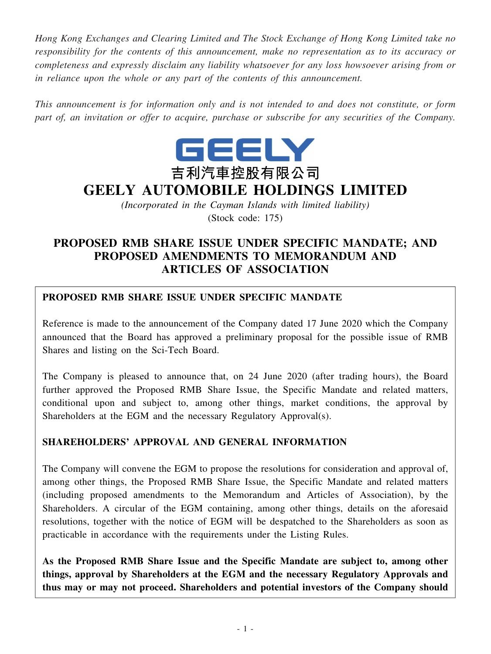*Hong Kong Exchanges and Clearing Limited and The Stock Exchange of Hong Kong Limited take no responsibility for the contents of this announcement, make no representation as to its accuracy or completeness and expressly disclaim any liability whatsoever for any loss howsoever arising from or in reliance upon the whole or any part of the contents of this announcement.*

*This announcement is for information only and is not intended to and does not constitute, or form part of, an invitation or offer to acquire, purchase or subscribe for any securities of the Company.*



# **GEELY AUTOMOBILE HOLDINGS LIMITED**

*(Incorporated in the Cayman Islands with limited liability)* (Stock code: 175)

# **PROPOSED RMB SHARE ISSUE UNDER SPECIFIC MANDATE; AND PROPOSED AMENDMENTS TO MEMORANDUM AND ARTICLES OF ASSOCIATION**

# **PROPOSED RMB SHARE ISSUE UNDER SPECIFIC MANDATE**

Reference is made to the announcement of the Company dated 17 June 2020 which the Company announced that the Board has approved a preliminary proposal for the possible issue of RMB Shares and listing on the Sci-Tech Board.

The Company is pleased to announce that, on 24 June 2020 (after trading hours), the Board further approved the Proposed RMB Share Issue, the Specific Mandate and related matters, conditional upon and subject to, among other things, market conditions, the approval by Shareholders at the EGM and the necessary Regulatory Approval(s).

# **SHAREHOLDERS' APPROVAL AND GENERAL INFORMATION**

The Company will convene the EGM to propose the resolutions for consideration and approval of, among other things, the Proposed RMB Share Issue, the Specific Mandate and related matters (including proposed amendments to the Memorandum and Articles of Association), by the Shareholders. A circular of the EGM containing, among other things, details on the aforesaid resolutions, together with the notice of EGM will be despatched to the Shareholders as soon as practicable in accordance with the requirements under the Listing Rules.

**As the Proposed RMB Share Issue and the Specific Mandate are subject to, among other things, approval by Shareholders at the EGM and the necessary Regulatory Approvals and thus may or may not proceed. Shareholders and potential investors of the Company should**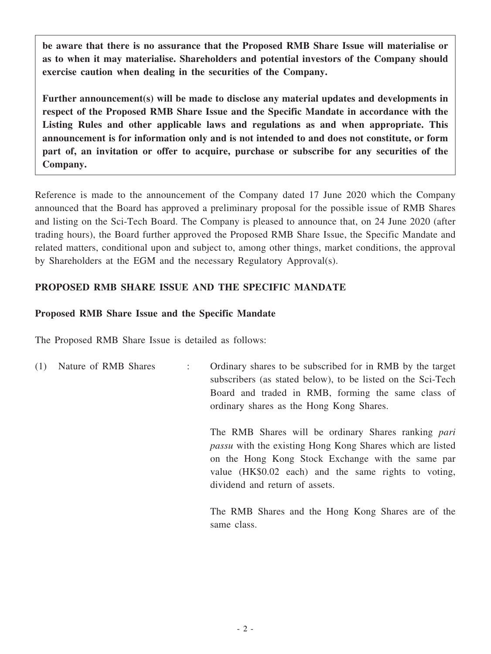**be aware that there is no assurance that the Proposed RMB Share Issue will materialise or as to when it may materialise. Shareholders and potential investors of the Company should exercise caution when dealing in the securities of the Company.**

**Further announcement(s) will be made to disclose any material updates and developments in respect of the Proposed RMB Share Issue and the Specific Mandate in accordance with the Listing Rules and other applicable laws and regulations as and when appropriate. This announcement is for information only and is not intended to and does not constitute, or form part of, an invitation or offer to acquire, purchase or subscribe for any securities of the Company.**

Reference is made to the announcement of the Company dated 17 June 2020 which the Company announced that the Board has approved a preliminary proposal for the possible issue of RMB Shares and listing on the Sci-Tech Board. The Company is pleased to announce that, on 24 June 2020 (after trading hours), the Board further approved the Proposed RMB Share Issue, the Specific Mandate and related matters, conditional upon and subject to, among other things, market conditions, the approval by Shareholders at the EGM and the necessary Regulatory Approval(s).

# **PROPOSED RMB SHARE ISSUE AND THE SPECIFIC MANDATE**

### **Proposed RMB Share Issue and the Specific Mandate**

The Proposed RMB Share Issue is detailed as follows:

(1) Nature of RMB Shares : Ordinary shares to be subscribed for in RMB by the target subscribers (as stated below), to be listed on the Sci-Tech Board and traded in RMB, forming the same class of ordinary shares as the Hong Kong Shares.

> The RMB Shares will be ordinary Shares ranking *pari passu* with the existing Hong Kong Shares which are listed on the Hong Kong Stock Exchange with the same par value (HK\$0.02 each) and the same rights to voting, dividend and return of assets.

> The RMB Shares and the Hong Kong Shares are of the same class.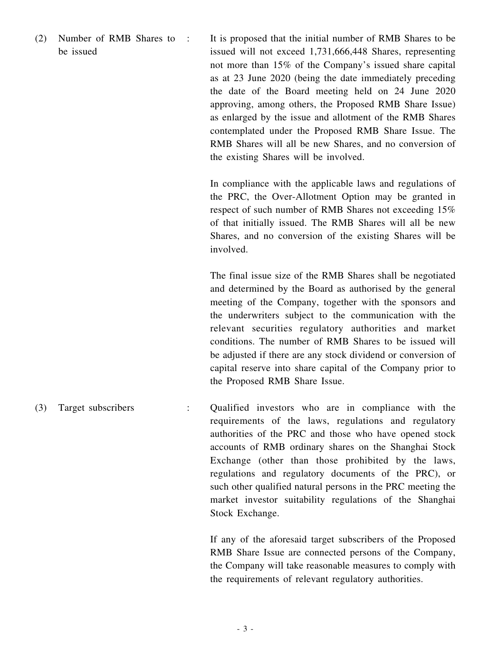(2) Number of RMB Shares to be issued

: It is proposed that the initial number of RMB Shares to be issued will not exceed 1,731,666,448 Shares, representing not more than 15% of the Company's issued share capital as at 23 June 2020 (being the date immediately preceding the date of the Board meeting held on 24 June 2020 approving, among others, the Proposed RMB Share Issue) as enlarged by the issue and allotment of the RMB Shares contemplated under the Proposed RMB Share Issue. The RMB Shares will all be new Shares, and no conversion of the existing Shares will be involved.

> In compliance with the applicable laws and regulations of the PRC, the Over-Allotment Option may be granted in respect of such number of RMB Shares not exceeding 15% of that initially issued. The RMB Shares will all be new Shares, and no conversion of the existing Shares will be involved.

> The final issue size of the RMB Shares shall be negotiated and determined by the Board as authorised by the general meeting of the Company, together with the sponsors and the underwriters subject to the communication with the relevant securities regulatory authorities and market conditions. The number of RMB Shares to be issued will be adjusted if there are any stock dividend or conversion of capital reserve into share capital of the Company prior to the Proposed RMB Share Issue.

(3) Target subscribers : Qualified investors who are in compliance with the requirements of the laws, regulations and regulatory authorities of the PRC and those who have opened stock accounts of RMB ordinary shares on the Shanghai Stock Exchange (other than those prohibited by the laws, regulations and regulatory documents of the PRC), or such other qualified natural persons in the PRC meeting the market investor suitability regulations of the Shanghai Stock Exchange.

> If any of the aforesaid target subscribers of the Proposed RMB Share Issue are connected persons of the Company, the Company will take reasonable measures to comply with the requirements of relevant regulatory authorities.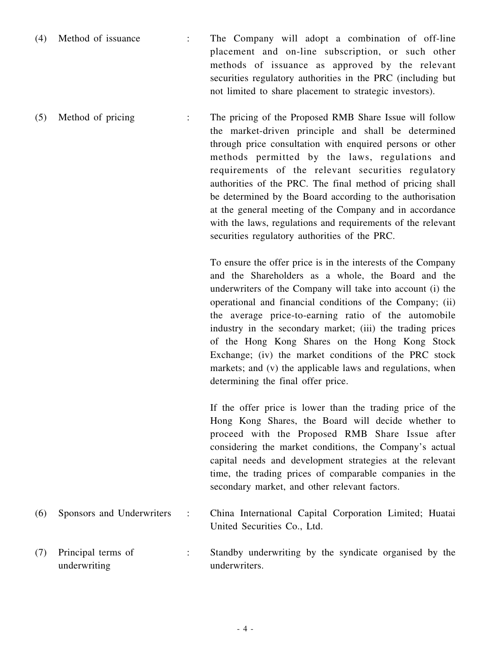- (4) Method of issuance : The Company will adopt a combination of off-line placement and on-line subscription, or such other methods of issuance as approved by the relevant securities regulatory authorities in the PRC (including but not limited to share placement to strategic investors).
- (5) Method of pricing : The pricing of the Proposed RMB Share Issue will follow the market-driven principle and shall be determined through price consultation with enquired persons or other methods permitted by the laws, regulations and requirements of the relevant securities regulatory authorities of the PRC. The final method of pricing shall be determined by the Board according to the authorisation at the general meeting of the Company and in accordance with the laws, regulations and requirements of the relevant securities regulatory authorities of the PRC.

To ensure the offer price is in the interests of the Company and the Shareholders as a whole, the Board and the underwriters of the Company will take into account (i) the operational and financial conditions of the Company; (ii) the average price-to-earning ratio of the automobile industry in the secondary market; (iii) the trading prices of the Hong Kong Shares on the Hong Kong Stock Exchange; (iv) the market conditions of the PRC stock markets; and (v) the applicable laws and regulations, when determining the final offer price.

If the offer price is lower than the trading price of the Hong Kong Shares, the Board will decide whether to proceed with the Proposed RMB Share Issue after considering the market conditions, the Company's actual capital needs and development strategies at the relevant time, the trading prices of comparable companies in the secondary market, and other relevant factors.

- (6) Sponsors and Underwriters : China International Capital Corporation Limited; Huatai United Securities Co., Ltd.
- (7) Principal terms of underwriting : Standby underwriting by the syndicate organised by the underwriters.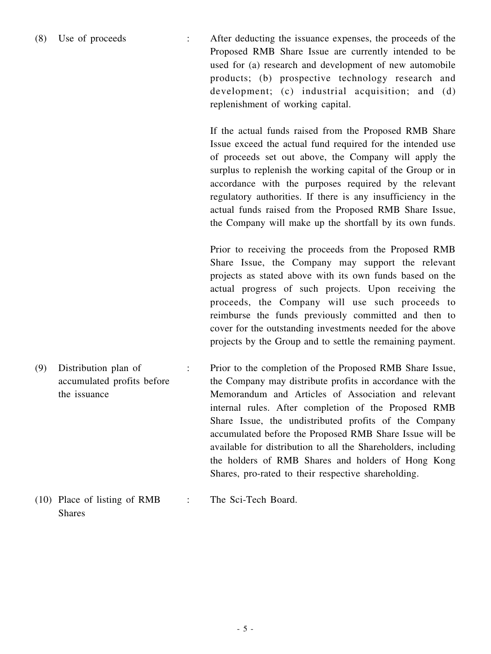(8) Use of proceeds : After deducting the issuance expenses, the proceeds of the Proposed RMB Share Issue are currently intended to be used for (a) research and development of new automobile products; (b) prospective technology research and development; (c) industrial acquisition; and (d) replenishment of working capital.

> If the actual funds raised from the Proposed RMB Share Issue exceed the actual fund required for the intended use of proceeds set out above, the Company will apply the surplus to replenish the working capital of the Group or in accordance with the purposes required by the relevant regulatory authorities. If there is any insufficiency in the actual funds raised from the Proposed RMB Share Issue, the Company will make up the shortfall by its own funds.

> Prior to receiving the proceeds from the Proposed RMB Share Issue, the Company may support the relevant projects as stated above with its own funds based on the actual progress of such projects. Upon receiving the proceeds, the Company will use such proceeds to reimburse the funds previously committed and then to cover for the outstanding investments needed for the above projects by the Group and to settle the remaining payment.

(9) Distribution plan of accumulated profits before the issuance : Prior to the completion of the Proposed RMB Share Issue, the Company may distribute profits in accordance with the Memorandum and Articles of Association and relevant internal rules. After completion of the Proposed RMB Share Issue, the undistributed profits of the Company accumulated before the Proposed RMB Share Issue will be available for distribution to all the Shareholders, including the holders of RMB Shares and holders of Hong Kong Shares, pro-rated to their respective shareholding.

#### (10) Place of listing of RMB Shares : The Sci-Tech Board.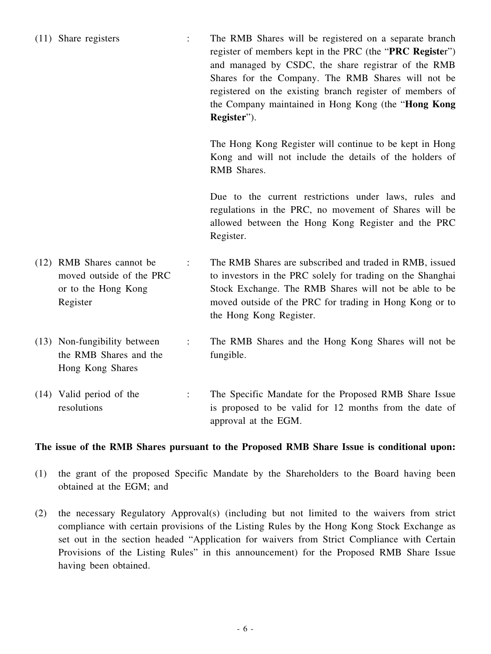- (11) Share registers : The RMB Shares will be registered on a separate branch register of members kept in the PRC (the "**PRC Registe**r") and managed by CSDC, the share registrar of the RMB Shares for the Company. The RMB Shares will not be registered on the existing branch register of members of the Company maintained in Hong Kong (the "**Hong Kong Register**"). The Hong Kong Register will continue to be kept in Hong Kong and will not include the details of the holders of RMB Shares. Due to the current restrictions under laws, rules and regulations in the PRC, no movement of Shares will be allowed between the Hong Kong Register and the PRC Register. (12) RMB Shares cannot be moved outside of the PRC or to the Hong Kong Register : The RMB Shares are subscribed and traded in RMB, issued to investors in the PRC solely for trading on the Shanghai Stock Exchange. The RMB Shares will not be able to be moved outside of the PRC for trading in Hong Kong or to the Hong Kong Register.
- (13) Non-fungibility between the RMB Shares and the Hong Kong Shares : The RMB Shares and the Hong Kong Shares will not be fungible.
- (14) Valid period of the resolutions : The Specific Mandate for the Proposed RMB Share Issue is proposed to be valid for 12 months from the date of approval at the EGM.

#### **The issue of the RMB Shares pursuant to the Proposed RMB Share Issue is conditional upon:**

- (1) the grant of the proposed Specific Mandate by the Shareholders to the Board having been obtained at the EGM; and
- (2) the necessary Regulatory Approval(s) (including but not limited to the waivers from strict compliance with certain provisions of the Listing Rules by the Hong Kong Stock Exchange as set out in the section headed "Application for waivers from Strict Compliance with Certain Provisions of the Listing Rules" in this announcement) for the Proposed RMB Share Issue having been obtained.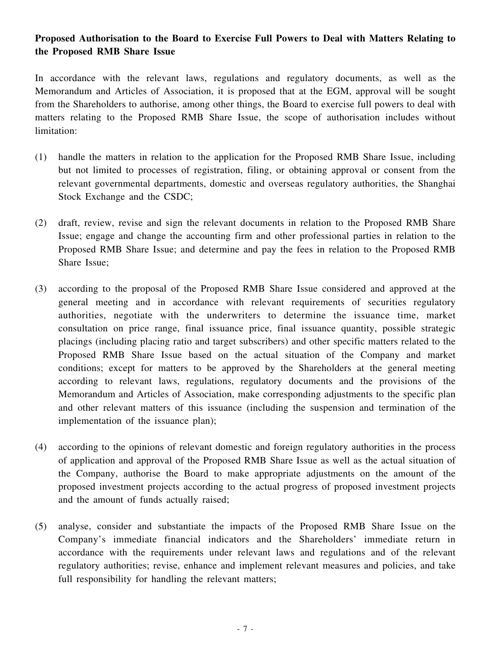# **Proposed Authorisation to the Board to Exercise Full Powers to Deal with Matters Relating to the Proposed RMB Share Issue**

In accordance with the relevant laws, regulations and regulatory documents, as well as the Memorandum and Articles of Association, it is proposed that at the EGM, approval will be sought from the Shareholders to authorise, among other things, the Board to exercise full powers to deal with matters relating to the Proposed RMB Share Issue, the scope of authorisation includes without limitation:

- (1) handle the matters in relation to the application for the Proposed RMB Share Issue, including but not limited to processes of registration, filing, or obtaining approval or consent from the relevant governmental departments, domestic and overseas regulatory authorities, the Shanghai Stock Exchange and the CSDC;
- (2) draft, review, revise and sign the relevant documents in relation to the Proposed RMB Share Issue; engage and change the accounting firm and other professional parties in relation to the Proposed RMB Share Issue; and determine and pay the fees in relation to the Proposed RMB Share Issue;
- (3) according to the proposal of the Proposed RMB Share Issue considered and approved at the general meeting and in accordance with relevant requirements of securities regulatory authorities, negotiate with the underwriters to determine the issuance time, market consultation on price range, final issuance price, final issuance quantity, possible strategic placings (including placing ratio and target subscribers) and other specific matters related to the Proposed RMB Share Issue based on the actual situation of the Company and market conditions; except for matters to be approved by the Shareholders at the general meeting according to relevant laws, regulations, regulatory documents and the provisions of the Memorandum and Articles of Association, make corresponding adjustments to the specific plan and other relevant matters of this issuance (including the suspension and termination of the implementation of the issuance plan);
- (4) according to the opinions of relevant domestic and foreign regulatory authorities in the process of application and approval of the Proposed RMB Share Issue as well as the actual situation of the Company, authorise the Board to make appropriate adjustments on the amount of the proposed investment projects according to the actual progress of proposed investment projects and the amount of funds actually raised;
- (5) analyse, consider and substantiate the impacts of the Proposed RMB Share Issue on the Company's immediate financial indicators and the Shareholders' immediate return in accordance with the requirements under relevant laws and regulations and of the relevant regulatory authorities; revise, enhance and implement relevant measures and policies, and take full responsibility for handling the relevant matters;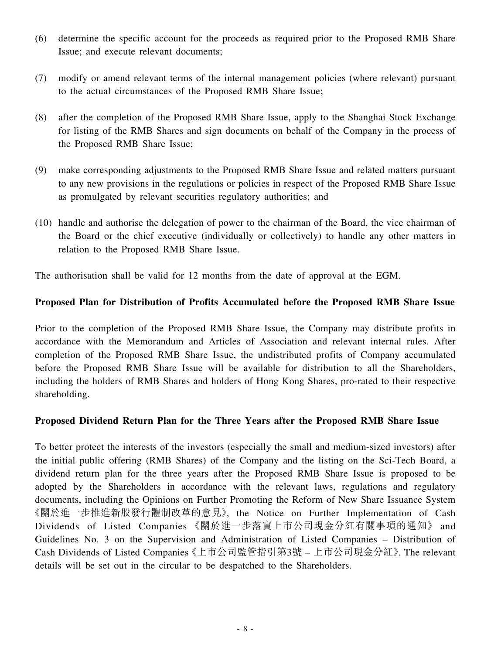- (6) determine the specific account for the proceeds as required prior to the Proposed RMB Share Issue; and execute relevant documents;
- (7) modify or amend relevant terms of the internal management policies (where relevant) pursuant to the actual circumstances of the Proposed RMB Share Issue;
- (8) after the completion of the Proposed RMB Share Issue, apply to the Shanghai Stock Exchange for listing of the RMB Shares and sign documents on behalf of the Company in the process of the Proposed RMB Share Issue;
- (9) make corresponding adjustments to the Proposed RMB Share Issue and related matters pursuant to any new provisions in the regulations or policies in respect of the Proposed RMB Share Issue as promulgated by relevant securities regulatory authorities; and
- (10) handle and authorise the delegation of power to the chairman of the Board, the vice chairman of the Board or the chief executive (individually or collectively) to handle any other matters in relation to the Proposed RMB Share Issue.

The authorisation shall be valid for 12 months from the date of approval at the EGM.

### **Proposed Plan for Distribution of Profits Accumulated before the Proposed RMB Share Issue**

Prior to the completion of the Proposed RMB Share Issue, the Company may distribute profits in accordance with the Memorandum and Articles of Association and relevant internal rules. After completion of the Proposed RMB Share Issue, the undistributed profits of Company accumulated before the Proposed RMB Share Issue will be available for distribution to all the Shareholders, including the holders of RMB Shares and holders of Hong Kong Shares, pro-rated to their respective shareholding.

#### **Proposed Dividend Return Plan for the Three Years after the Proposed RMB Share Issue**

To better protect the interests of the investors (especially the small and medium-sized investors) after the initial public offering (RMB Shares) of the Company and the listing on the Sci-Tech Board, a dividend return plan for the three years after the Proposed RMB Share Issue is proposed to be adopted by the Shareholders in accordance with the relevant laws, regulations and regulatory documents, including the Opinions on Further Promoting the Reform of New Share Issuance System 《關於進一步推進新股發行體制改革的意見》, the Notice on Further Implementation of Cash Dividends of Listed Companies 《關於進一步落實上市公司現金分紅有關事項的通知》 and Guidelines No. 3 on the Supervision and Administration of Listed Companies – Distribution of Cash Dividends of Listed Companies《上市公司監管指引第3號 – 上市公司現金分紅》. The relevant details will be set out in the circular to be despatched to the Shareholders.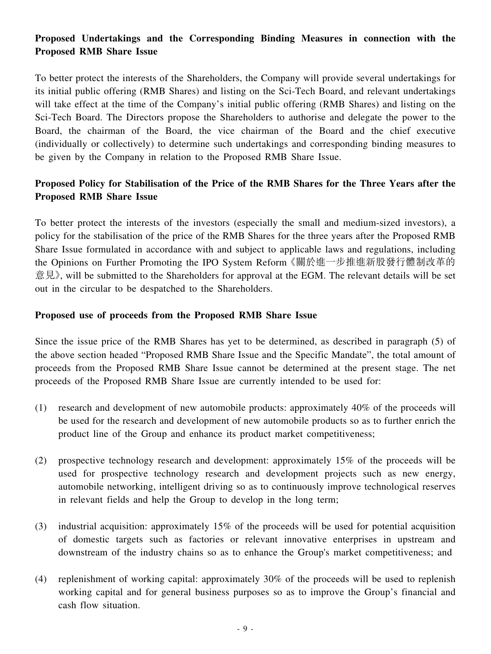# **Proposed Undertakings and the Corresponding Binding Measures in connection with the Proposed RMB Share Issue**

To better protect the interests of the Shareholders, the Company will provide several undertakings for its initial public offering (RMB Shares) and listing on the Sci-Tech Board, and relevant undertakings will take effect at the time of the Company's initial public offering (RMB Shares) and listing on the Sci-Tech Board. The Directors propose the Shareholders to authorise and delegate the power to the Board, the chairman of the Board, the vice chairman of the Board and the chief executive (individually or collectively) to determine such undertakings and corresponding binding measures to be given by the Company in relation to the Proposed RMB Share Issue.

# **Proposed Policy for Stabilisation of the Price of the RMB Shares for the Three Years after the Proposed RMB Share Issue**

To better protect the interests of the investors (especially the small and medium-sized investors), a policy for the stabilisation of the price of the RMB Shares for the three years after the Proposed RMB Share Issue formulated in accordance with and subject to applicable laws and regulations, including the Opinions on Further Promoting the IPO System Reform《關於進一步推進新股發行體制改革的 意見》, will be submitted to the Shareholders for approval at the EGM. The relevant details will be set out in the circular to be despatched to the Shareholders.

#### **Proposed use of proceeds from the Proposed RMB Share Issue**

Since the issue price of the RMB Shares has yet to be determined, as described in paragraph (5) of the above section headed "Proposed RMB Share Issue and the Specific Mandate", the total amount of proceeds from the Proposed RMB Share Issue cannot be determined at the present stage. The net proceeds of the Proposed RMB Share Issue are currently intended to be used for:

- (1) research and development of new automobile products: approximately 40% of the proceeds will be used for the research and development of new automobile products so as to further enrich the product line of the Group and enhance its product market competitiveness;
- (2) prospective technology research and development: approximately 15% of the proceeds will be used for prospective technology research and development projects such as new energy, automobile networking, intelligent driving so as to continuously improve technological reserves in relevant fields and help the Group to develop in the long term;
- (3) industrial acquisition: approximately 15% of the proceeds will be used for potential acquisition of domestic targets such as factories or relevant innovative enterprises in upstream and downstream of the industry chains so as to enhance the Group's market competitiveness; and
- (4) replenishment of working capital: approximately 30% of the proceeds will be used to replenish working capital and for general business purposes so as to improve the Group's financial and cash flow situation.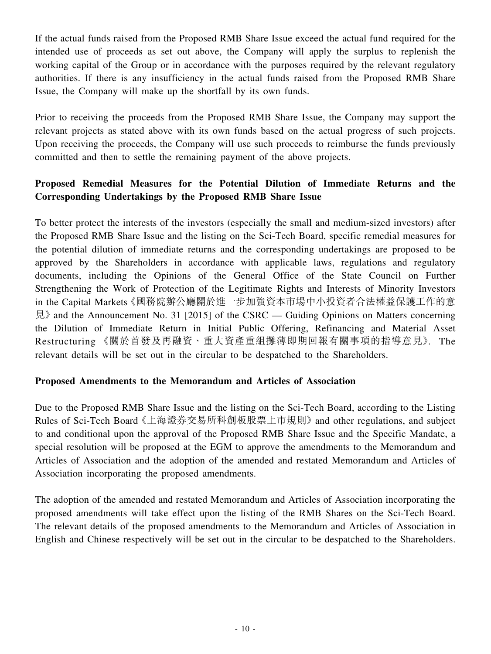If the actual funds raised from the Proposed RMB Share Issue exceed the actual fund required for the intended use of proceeds as set out above, the Company will apply the surplus to replenish the working capital of the Group or in accordance with the purposes required by the relevant regulatory authorities. If there is any insufficiency in the actual funds raised from the Proposed RMB Share Issue, the Company will make up the shortfall by its own funds.

Prior to receiving the proceeds from the Proposed RMB Share Issue, the Company may support the relevant projects as stated above with its own funds based on the actual progress of such projects. Upon receiving the proceeds, the Company will use such proceeds to reimburse the funds previously committed and then to settle the remaining payment of the above projects.

# **Proposed Remedial Measures for the Potential Dilution of Immediate Returns and the Corresponding Undertakings by the Proposed RMB Share Issue**

To better protect the interests of the investors (especially the small and medium-sized investors) after the Proposed RMB Share Issue and the listing on the Sci-Tech Board, specific remedial measures for the potential dilution of immediate returns and the corresponding undertakings are proposed to be approved by the Shareholders in accordance with applicable laws, regulations and regulatory documents, including the Opinions of the General Office of the State Council on Further Strengthening the Work of Protection of the Legitimate Rights and Interests of Minority Investors in the Capital Markets《國務院辦公廳關於進一步加強資本市場中小投資者合法權益保護工作的意 見》and the Announcement No. 31 [2015] of the CSRC — Guiding Opinions on Matters concerning the Dilution of Immediate Return in Initial Public Offering, Refinancing and Material Asset Restructuring 《關於首發及再融資、重大資產重組攤薄即期回報有關事項的指導意見》. The relevant details will be set out in the circular to be despatched to the Shareholders.

### **Proposed Amendments to the Memorandum and Articles of Association**

Due to the Proposed RMB Share Issue and the listing on the Sci-Tech Board, according to the Listing Rules of Sci-Tech Board《上海證券交易所科創板股票上市規則》and other regulations, and subject to and conditional upon the approval of the Proposed RMB Share Issue and the Specific Mandate, a special resolution will be proposed at the EGM to approve the amendments to the Memorandum and Articles of Association and the adoption of the amended and restated Memorandum and Articles of Association incorporating the proposed amendments.

The adoption of the amended and restated Memorandum and Articles of Association incorporating the proposed amendments will take effect upon the listing of the RMB Shares on the Sci-Tech Board. The relevant details of the proposed amendments to the Memorandum and Articles of Association in English and Chinese respectively will be set out in the circular to be despatched to the Shareholders.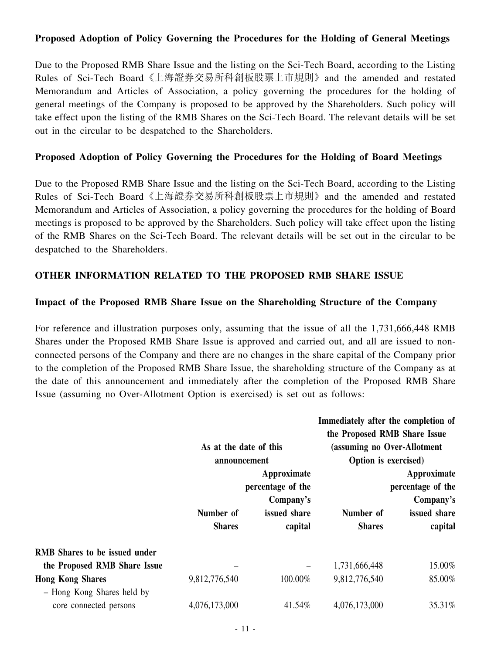### **Proposed Adoption of Policy Governing the Procedures for the Holding of General Meetings**

Due to the Proposed RMB Share Issue and the listing on the Sci-Tech Board, according to the Listing Rules of Sci-Tech Board《上海證券交易所科創板股票上市規則》and the amended and restated Memorandum and Articles of Association, a policy governing the procedures for the holding of general meetings of the Company is proposed to be approved by the Shareholders. Such policy will take effect upon the listing of the RMB Shares on the Sci-Tech Board. The relevant details will be set out in the circular to be despatched to the Shareholders.

#### **Proposed Adoption of Policy Governing the Procedures for the Holding of Board Meetings**

Due to the Proposed RMB Share Issue and the listing on the Sci-Tech Board, according to the Listing Rules of Sci-Tech Board《上海證券交易所科創板股票上市規則》and the amended and restated Memorandum and Articles of Association, a policy governing the procedures for the holding of Board meetings is proposed to be approved by the Shareholders. Such policy will take effect upon the listing of the RMB Shares on the Sci-Tech Board. The relevant details will be set out in the circular to be despatched to the Shareholders.

### **OTHER INFORMATION RELATED TO THE PROPOSED RMB SHARE ISSUE**

#### **Impact of the Proposed RMB Share Issue on the Shareholding Structure of the Company**

For reference and illustration purposes only, assuming that the issue of all the 1,731,666,448 RMB Shares under the Proposed RMB Share Issue is approved and carried out, and all are issued to nonconnected persons of the Company and there are no changes in the share capital of the Company prior to the completion of the Proposed RMB Share Issue, the shareholding structure of the Company as at the date of this announcement and immediately after the completion of the Proposed RMB Share Issue (assuming no Over-Allotment Option is exercised) is set out as follows:

|                                      | As at the date of this<br>announcement        |                                         | Immediately after the completion of<br>the Proposed RMB Share Issue<br>(assuming no Over-Allotment<br>Option is exercised) |                                               |
|--------------------------------------|-----------------------------------------------|-----------------------------------------|----------------------------------------------------------------------------------------------------------------------------|-----------------------------------------------|
|                                      | Approximate<br>percentage of the<br>Company's |                                         |                                                                                                                            | Approximate<br>percentage of the<br>Company's |
|                                      | Number of                                     | issued share                            | Number of                                                                                                                  | issued share                                  |
|                                      | <b>Shares</b>                                 | capital                                 | <b>Shares</b>                                                                                                              | capital                                       |
| <b>RMB</b> Shares to be issued under |                                               |                                         |                                                                                                                            |                                               |
| the Proposed RMB Share Issue         |                                               | $\qquad \qquad \  \  \, -\qquad \qquad$ | 1,731,666,448                                                                                                              | 15.00%                                        |
| <b>Hong Kong Shares</b>              | 9,812,776,540                                 | 100.00%                                 | 9,812,776,540                                                                                                              | 85.00%                                        |
| - Hong Kong Shares held by           |                                               |                                         |                                                                                                                            |                                               |
| core connected persons               | 4,076,173,000                                 | 41.54%                                  | 4,076,173,000                                                                                                              | 35.31%                                        |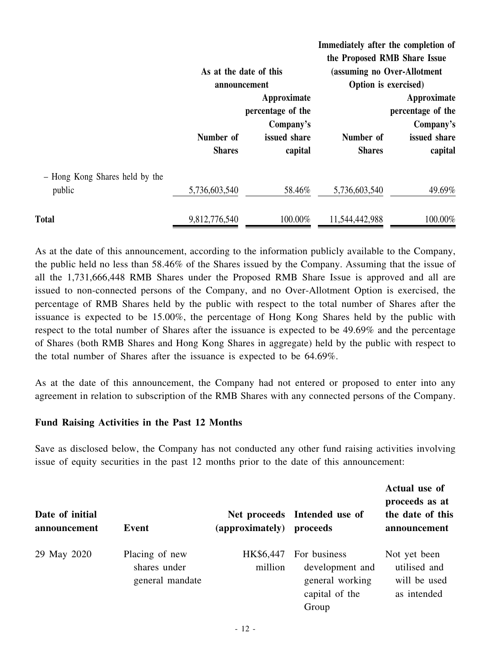|                                          | As at the date of this<br>announcement |                                                                          | Immediately after the completion of<br>the Proposed RMB Share Issue<br>(assuming no Over-Allotment<br>Option is exercised) |                                                                          |
|------------------------------------------|----------------------------------------|--------------------------------------------------------------------------|----------------------------------------------------------------------------------------------------------------------------|--------------------------------------------------------------------------|
|                                          | Number of<br><b>Shares</b>             | Approximate<br>percentage of the<br>Company's<br>issued share<br>capital | Number of<br><b>Shares</b>                                                                                                 | Approximate<br>percentage of the<br>Company's<br>issued share<br>capital |
| - Hong Kong Shares held by the<br>public | 5,736,603,540                          | 58.46%                                                                   | 5,736,603,540                                                                                                              | 49.69%                                                                   |
| <b>Total</b>                             | 9,812,776,540                          | 100.00%                                                                  | 11,544,442,988                                                                                                             | 100.00%                                                                  |

As at the date of this announcement, according to the information publicly available to the Company, the public held no less than 58.46% of the Shares issued by the Company. Assuming that the issue of all the 1,731,666,448 RMB Shares under the Proposed RMB Share Issue is approved and all are issued to non-connected persons of the Company, and no Over-Allotment Option is exercised, the percentage of RMB Shares held by the public with respect to the total number of Shares after the issuance is expected to be 15.00%, the percentage of Hong Kong Shares held by the public with respect to the total number of Shares after the issuance is expected to be 49.69% and the percentage of Shares (both RMB Shares and Hong Kong Shares in aggregate) held by the public with respect to the total number of Shares after the issuance is expected to be 64.69%.

As at the date of this announcement, the Company had not entered or proposed to enter into any agreement in relation to subscription of the RMB Shares with any connected persons of the Company.

#### **Fund Raising Activities in the Past 12 Months**

Save as disclosed below, the Company has not conducted any other fund raising activities involving issue of equity securities in the past 12 months prior to the date of this announcement:

| Date of initial<br>announcement | Event                                             | (approximately)      | Net proceeds Intended use of<br>proceeds                                      | Actual use of<br>proceeds as at<br>the date of this<br>announcement |
|---------------------------------|---------------------------------------------------|----------------------|-------------------------------------------------------------------------------|---------------------------------------------------------------------|
| 29 May 2020                     | Placing of new<br>shares under<br>general mandate | HK\$6,447<br>million | For business<br>development and<br>general working<br>capital of the<br>Group | Not yet been<br>utilised and<br>will be used<br>as intended         |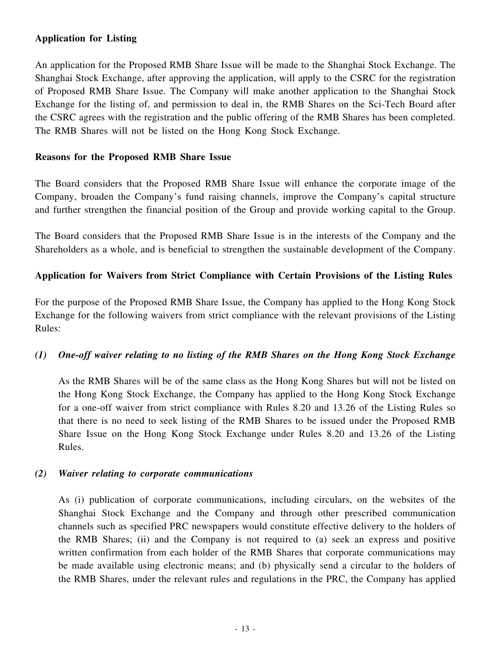# **Application for Listing**

An application for the Proposed RMB Share Issue will be made to the Shanghai Stock Exchange. The Shanghai Stock Exchange, after approving the application, will apply to the CSRC for the registration of Proposed RMB Share Issue. The Company will make another application to the Shanghai Stock Exchange for the listing of, and permission to deal in, the RMB Shares on the Sci-Tech Board after the CSRC agrees with the registration and the public offering of the RMB Shares has been completed. The RMB Shares will not be listed on the Hong Kong Stock Exchange.

#### **Reasons for the Proposed RMB Share Issue**

The Board considers that the Proposed RMB Share Issue will enhance the corporate image of the Company, broaden the Company's fund raising channels, improve the Company's capital structure and further strengthen the financial position of the Group and provide working capital to the Group.

The Board considers that the Proposed RMB Share Issue is in the interests of the Company and the Shareholders as a whole, and is beneficial to strengthen the sustainable development of the Company.

### **Application for Waivers from Strict Compliance with Certain Provisions of the Listing Rules**

For the purpose of the Proposed RMB Share Issue, the Company has applied to the Hong Kong Stock Exchange for the following waivers from strict compliance with the relevant provisions of the Listing Rules:

### *(1) One-off waiver relating to no listing of the RMB Shares on the Hong Kong Stock Exchange*

As the RMB Shares will be of the same class as the Hong Kong Shares but will not be listed on the Hong Kong Stock Exchange, the Company has applied to the Hong Kong Stock Exchange for a one-off waiver from strict compliance with Rules 8.20 and 13.26 of the Listing Rules so that there is no need to seek listing of the RMB Shares to be issued under the Proposed RMB Share Issue on the Hong Kong Stock Exchange under Rules 8.20 and 13.26 of the Listing Rules.

#### *(2) Waiver relating to corporate communications*

As (i) publication of corporate communications, including circulars, on the websites of the Shanghai Stock Exchange and the Company and through other prescribed communication channels such as specified PRC newspapers would constitute effective delivery to the holders of the RMB Shares; (ii) and the Company is not required to (a) seek an express and positive written confirmation from each holder of the RMB Shares that corporate communications may be made available using electronic means; and (b) physically send a circular to the holders of the RMB Shares, under the relevant rules and regulations in the PRC, the Company has applied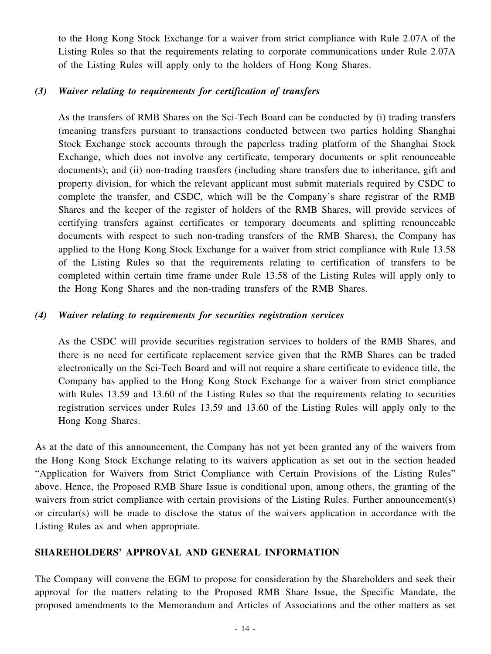to the Hong Kong Stock Exchange for a waiver from strict compliance with Rule 2.07A of the Listing Rules so that the requirements relating to corporate communications under Rule 2.07A of the Listing Rules will apply only to the holders of Hong Kong Shares.

#### *(3) Waiver relating to requirements for certification of transfers*

As the transfers of RMB Shares on the Sci-Tech Board can be conducted by (i) trading transfers (meaning transfers pursuant to transactions conducted between two parties holding Shanghai Stock Exchange stock accounts through the paperless trading platform of the Shanghai Stock Exchange, which does not involve any certificate, temporary documents or split renounceable documents); and (ii) non-trading transfers (including share transfers due to inheritance, gift and property division, for which the relevant applicant must submit materials required by CSDC to complete the transfer, and CSDC, which will be the Company's share registrar of the RMB Shares and the keeper of the register of holders of the RMB Shares, will provide services of certifying transfers against certificates or temporary documents and splitting renounceable documents with respect to such non-trading transfers of the RMB Shares), the Company has applied to the Hong Kong Stock Exchange for a waiver from strict compliance with Rule 13.58 of the Listing Rules so that the requirements relating to certification of transfers to be completed within certain time frame under Rule 13.58 of the Listing Rules will apply only to the Hong Kong Shares and the non-trading transfers of the RMB Shares.

#### *(4) Waiver relating to requirements for securities registration services*

As the CSDC will provide securities registration services to holders of the RMB Shares, and there is no need for certificate replacement service given that the RMB Shares can be traded electronically on the Sci-Tech Board and will not require a share certificate to evidence title, the Company has applied to the Hong Kong Stock Exchange for a waiver from strict compliance with Rules 13.59 and 13.60 of the Listing Rules so that the requirements relating to securities registration services under Rules 13.59 and 13.60 of the Listing Rules will apply only to the Hong Kong Shares.

As at the date of this announcement, the Company has not yet been granted any of the waivers from the Hong Kong Stock Exchange relating to its waivers application as set out in the section headed "Application for Waivers from Strict Compliance with Certain Provisions of the Listing Rules" above. Hence, the Proposed RMB Share Issue is conditional upon, among others, the granting of the waivers from strict compliance with certain provisions of the Listing Rules. Further announcement(s) or circular(s) will be made to disclose the status of the waivers application in accordance with the Listing Rules as and when appropriate.

# **SHAREHOLDERS' APPROVAL AND GENERAL INFORMATION**

The Company will convene the EGM to propose for consideration by the Shareholders and seek their approval for the matters relating to the Proposed RMB Share Issue, the Specific Mandate, the proposed amendments to the Memorandum and Articles of Associations and the other matters as set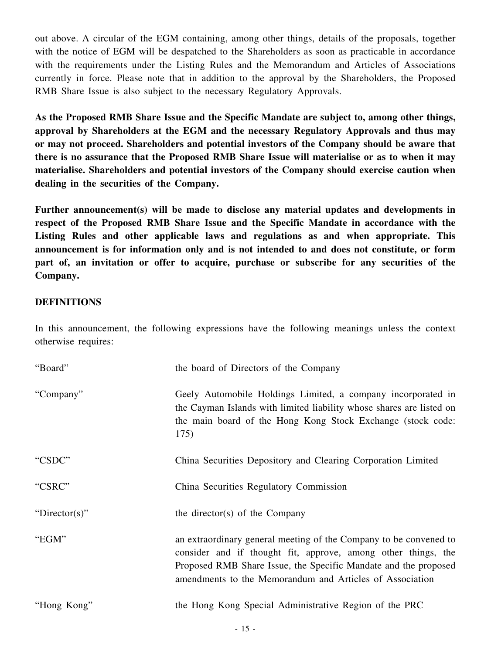out above. A circular of the EGM containing, among other things, details of the proposals, together with the notice of EGM will be despatched to the Shareholders as soon as practicable in accordance with the requirements under the Listing Rules and the Memorandum and Articles of Associations currently in force. Please note that in addition to the approval by the Shareholders, the Proposed RMB Share Issue is also subject to the necessary Regulatory Approvals.

**As the Proposed RMB Share Issue and the Specific Mandate are subject to, among other things, approval by Shareholders at the EGM and the necessary Regulatory Approvals and thus may or may not proceed. Shareholders and potential investors of the Company should be aware that there is no assurance that the Proposed RMB Share Issue will materialise or as to when it may materialise. Shareholders and potential investors of the Company should exercise caution when dealing in the securities of the Company.**

**Further announcement(s) will be made to disclose any material updates and developments in respect of the Proposed RMB Share Issue and the Specific Mandate in accordance with the Listing Rules and other applicable laws and regulations as and when appropriate. This announcement is for information only and is not intended to and does not constitute, or form part of, an invitation or offer to acquire, purchase or subscribe for any securities of the Company.**

### **DEFINITIONS**

In this announcement, the following expressions have the following meanings unless the context otherwise requires:

| "Board"       | the board of Directors of the Company                                                                                                                                                                                                                             |
|---------------|-------------------------------------------------------------------------------------------------------------------------------------------------------------------------------------------------------------------------------------------------------------------|
| "Company"     | Geely Automobile Holdings Limited, a company incorporated in<br>the Cayman Islands with limited liability whose shares are listed on<br>the main board of the Hong Kong Stock Exchange (stock code:<br>175)                                                       |
| "CSDC"        | China Securities Depository and Clearing Corporation Limited                                                                                                                                                                                                      |
| "CSRC"        | China Securities Regulatory Commission                                                                                                                                                                                                                            |
| "Director(s)" | the director(s) of the Company                                                                                                                                                                                                                                    |
| "EGM"         | an extraordinary general meeting of the Company to be convened to<br>consider and if thought fit, approve, among other things, the<br>Proposed RMB Share Issue, the Specific Mandate and the proposed<br>amendments to the Memorandum and Articles of Association |
| "Hong Kong"   | the Hong Kong Special Administrative Region of the PRC                                                                                                                                                                                                            |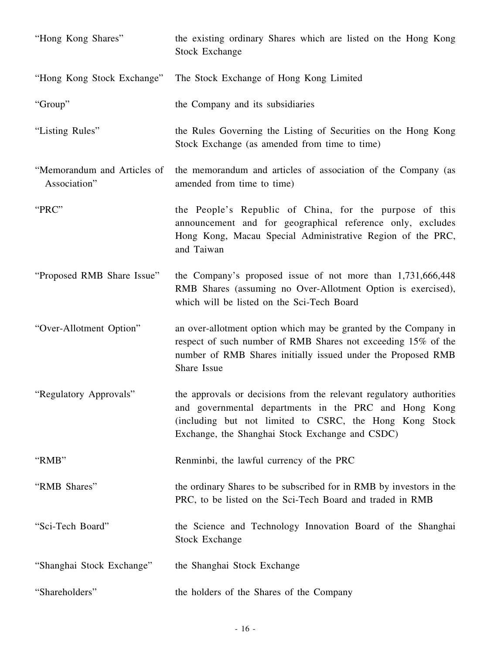| "Hong Kong Shares"                          | the existing ordinary Shares which are listed on the Hong Kong<br><b>Stock Exchange</b>                                                                                                                                                    |
|---------------------------------------------|--------------------------------------------------------------------------------------------------------------------------------------------------------------------------------------------------------------------------------------------|
| "Hong Kong Stock Exchange"                  | The Stock Exchange of Hong Kong Limited                                                                                                                                                                                                    |
| "Group"                                     | the Company and its subsidiaries                                                                                                                                                                                                           |
| "Listing Rules"                             | the Rules Governing the Listing of Securities on the Hong Kong<br>Stock Exchange (as amended from time to time)                                                                                                                            |
| "Memorandum and Articles of<br>Association" | the memorandum and articles of association of the Company (as<br>amended from time to time)                                                                                                                                                |
| "PRC"                                       | the People's Republic of China, for the purpose of this<br>announcement and for geographical reference only, excludes<br>Hong Kong, Macau Special Administrative Region of the PRC,<br>and Taiwan                                          |
| "Proposed RMB Share Issue"                  | the Company's proposed issue of not more than 1,731,666,448<br>RMB Shares (assuming no Over-Allotment Option is exercised),<br>which will be listed on the Sci-Tech Board                                                                  |
| "Over-Allotment Option"                     | an over-allotment option which may be granted by the Company in<br>respect of such number of RMB Shares not exceeding 15% of the<br>number of RMB Shares initially issued under the Proposed RMB<br>Share Issue                            |
| "Regulatory Approvals"                      | the approvals or decisions from the relevant regulatory authorities<br>and governmental departments in the PRC and Hong Kong<br>(including but not limited to CSRC, the Hong Kong Stock<br>Exchange, the Shanghai Stock Exchange and CSDC) |
| "RMB"                                       | Renminbi, the lawful currency of the PRC                                                                                                                                                                                                   |
| "RMB Shares"                                | the ordinary Shares to be subscribed for in RMB by investors in the<br>PRC, to be listed on the Sci-Tech Board and traded in RMB                                                                                                           |
| "Sci-Tech Board"                            | the Science and Technology Innovation Board of the Shanghai<br><b>Stock Exchange</b>                                                                                                                                                       |
| "Shanghai Stock Exchange"                   | the Shanghai Stock Exchange                                                                                                                                                                                                                |
| "Shareholders"                              | the holders of the Shares of the Company                                                                                                                                                                                                   |